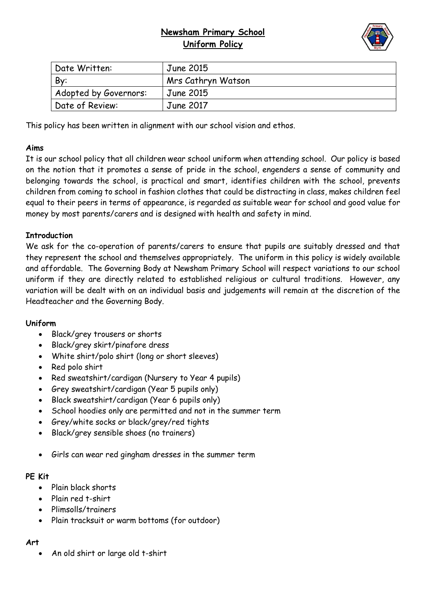# **Newsham Primary School Uniform Policy**



| Date Written:         | June 2015          |
|-----------------------|--------------------|
| By:                   | Mrs Cathryn Watson |
| Adopted by Governors: | June 2015          |
| Date of Review:       | June 2017          |

This policy has been written in alignment with our school vision and ethos.

## **Aims**

It is our school policy that all children wear school uniform when attending school. Our policy is based on the notion that it promotes a sense of pride in the school, engenders a sense of community and belonging towards the school, is practical and smart, identifies children with the school, prevents children from coming to school in fashion clothes that could be distracting in class, makes children feel equal to their peers in terms of appearance, is regarded as suitable wear for school and good value for money by most parents/carers and is designed with health and safety in mind.

## **Introduction**

We ask for the co-operation of parents/carers to ensure that pupils are suitably dressed and that they represent the school and themselves appropriately. The uniform in this policy is widely available and affordable. The Governing Body at Newsham Primary School will respect variations to our school uniform if they are directly related to established religious or cultural traditions. However, any variation will be dealt with on an individual basis and judgements will remain at the discretion of the Headteacher and the Governing Body.

#### **Uniform**

- Black/grey trousers or shorts
- Black/grey skirt/pinafore dress
- White shirt/polo shirt (long or short sleeves)
- Red polo shirt
- Red sweatshirt/cardigan (Nursery to Year 4 pupils)
- Grey sweatshirt/cardigan (Year 5 pupils only)
- Black sweatshirt/cardigan (Year 6 pupils only)
- School hoodies only are permitted and not in the summer term
- Grey/white socks or black/grey/red tights
- Black/grey sensible shoes (no trainers)
- Girls can wear red gingham dresses in the summer term

#### **PE Kit**

- Plain black shorts
- Plain red t-shirt
- Plimsolls/trainers
- Plain tracksuit or warm bottoms (for outdoor)

#### **Art**

An old shirt or large old t-shirt